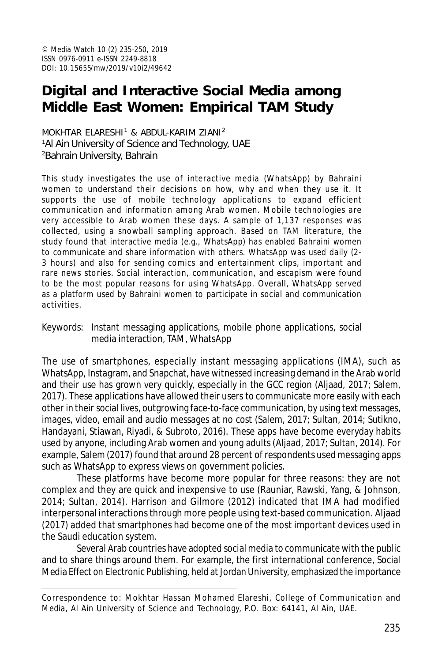# **Digital and Interactive Social Media among Middle East Women: Empirical TAM Study**

MOKHTAR ELARESHI<sup>1</sup> & ABDUL-KARIM ZIANI<sup>2</sup> <sup>1</sup>Al Ain University of Science and Technology, UAE <sup>2</sup>Bahrain University, Bahrain

This study investigates the use of interactive media (WhatsApp) by Bahraini women to understand their decisions on how, why and when they use it. It supports the use of mobile technology applications to expand efficient communication and information among Arab women. Mobile technologies are very accessible to Arab women these days. A sample of 1,137 responses was collected, using a snowball sampling approach. Based on TAM literature, the study found that interactive media (e.g., WhatsApp) has enabled Bahraini women to communicate and share information with others. WhatsApp was used daily (2- 3 hours) and also for sending comics and entertainment clips, important and rare news stories. Social interaction, communication, and escapism were found to be the most popular reasons for using WhatsApp. Overall, WhatsApp served as a platform used by Bahraini women to participate in social and communication activities.

Keywords: Instant messaging applications, mobile phone applications, social media interaction, TAM, WhatsApp

The use of smartphones, especially instant messaging applications (IMA), such as WhatsApp, Instagram, and Snapchat, have witnessed increasing demand in the Arab world and their use has grown very quickly, especially in the GCC region (Aljaad, 2017; Salem, 2017). These applications have allowed their users to communicate more easily with each other in their social lives, outgrowing face-to-face communication, by using text messages, images, video, email and audio messages at no cost (Salem, 2017; Sultan, 2014; Sutikno, Handayani, Stiawan, Riyadi, & Subroto, 2016). These apps have become everyday habits used by anyone, including Arab women and young adults (Aljaad, 2017; Sultan, 2014). For example, Salem (2017) found that around 28 percent of respondents used messaging apps such as WhatsApp to express views on government policies.

These platforms have become more popular for three reasons: they are not complex and they are quick and inexpensive to use (Rauniar, Rawski, Yang, & Johnson, 2014; Sultan, 2014). Harrison and Gilmore (2012) indicated that IMA had modified interpersonal interactions through more people using text-based communication. Aljaad (2017) added that smartphones had become one of the most important devices used in the Saudi education system.

Several Arab countries have adopted social media to communicate with the public and to share things around them. For example, the first international conference, Social Media Effect on Electronic Publishing, held at Jordan University, emphasized the importance

Correspondence to: Mokhtar Hassan Mohamed Elareshi, College of Communication and Media, Al Ain University of Science and Technology, P.O. Box: 64141, Al Ain, UAE.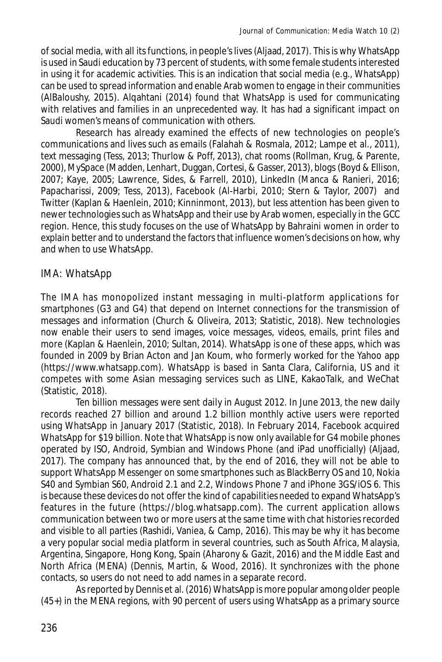of social media, with all its functions, in people's lives (Aljaad, 2017). This is why WhatsApp is used in Saudi education by 73 percent of students, with some female students interested in using it for academic activities. This is an indication that social media (e.g., WhatsApp) can be used to spread information and enable Arab women to engage in their communities (AlBaloushy, 2015). Alqahtani (2014) found that WhatsApp is used for communicating with relatives and families in an unprecedented way. It has had a significant impact on Saudi women's means of communication with others.

Research has already examined the effects of new technologies on people's communications and lives such as emails (Falahah & Rosmala, 2012; Lampe et al., 2011), text messaging (Tess, 2013; Thurlow & Poff, 2013), chat rooms (Rollman, Krug, & Parente, 2000), MySpace (Madden, Lenhart, Duggan, Cortesi, & Gasser, 2013), blogs (Boyd & Ellison, 2007; Kaye, 2005; Lawrence, Sides, & Farrell, 2010), LinkedIn (Manca & Ranieri, 2016; Papacharissi, 2009; Tess, 2013), Facebook (Al-Harbi, 2010; Stern & Taylor, 2007) and Twitter (Kaplan & Haenlein, 2010; Kinninmont, 2013), but less attention has been given to newer technologies such as WhatsApp and their use by Arab women, especially in the GCC region. Hence, this study focuses on the use of WhatsApp by Bahraini women in order to explain better and to understand the factors that influence women's decisions on how, why and when to use WhatsApp.

# IMA: WhatsApp

The IMA has monopolized instant messaging in multi-platform applications for smartphones (G3 and G4) that depend on Internet connections for the transmission of messages and information (Church & Oliveira, 2013; Statistic, 2018). New technologies now enable their users to send images, voice messages, videos, emails, print files and more (Kaplan & Haenlein, 2010; Sultan, 2014). WhatsApp is one of these apps, which was founded in 2009 by Brian Acton and Jan Koum, who formerly worked for the Yahoo app (https://www.whatsapp.com). WhatsApp is based in Santa Clara, California, US and it competes with some Asian messaging services such as LINE, KakaoTalk, and WeChat (Statistic, 2018).

Ten billion messages were sent daily in August 2012. In June 2013, the new daily records reached 27 billion and around 1.2 billion monthly active users were reported using WhatsApp in January 2017 (Statistic, 2018). In February 2014, Facebook acquired WhatsApp for \$19 billion. Note that WhatsApp is now only available for G4 mobile phones operated by ISO, Android, Symbian and Windows Phone (and iPad unofficially) (Aljaad, 2017). The company has announced that, by the end of 2016, they will not be able to support WhatsApp Messenger on some smartphones such as BlackBerry OS and 10, Nokia S40 and Symbian S60, Android 2.1 and 2.2, Windows Phone 7 and iPhone 3GS/iOS 6. This is because these devices do not offer the kind of capabilities needed to expand WhatsApp's features in the future (https://blog.whatsapp.com). The current application allows communication between two or more users at the same time with chat histories recorded and visible to all parties (Rashidi, Vaniea, & Camp, 2016). This may be why it has become a very popular social media platform in several countries, such as South Africa, Malaysia, Argentina, Singapore, Hong Kong, Spain (Aharony & Gazit, 2016) and the Middle East and North Africa (MENA) (Dennis, Martin, & Wood, 2016). It synchronizes with the phone contacts, so users do not need to add names in a separate record.

As reported by Dennis et al. (2016) WhatsApp is more popular among older people (45+) in the MENA regions, with 90 percent of users using WhatsApp as a primary source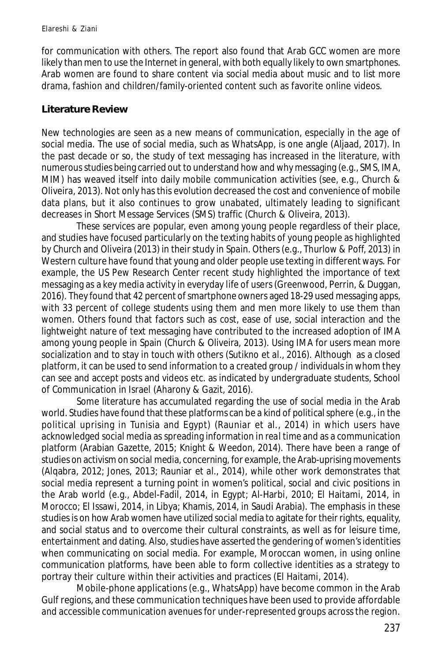for communication with others. The report also found that Arab GCC women are more likely than men to use the Internet in general, with both equally likely to own smartphones. Arab women are found to share content via social media about music and to list more drama, fashion and children/family-oriented content such as favorite online videos.

#### **Literature Review**

New technologies are seen as a new means of communication, especially in the age of social media. The use of social media, such as WhatsApp, is one angle (Aljaad, 2017). In the past decade or so, the study of text messaging has increased in the literature, with numerous studies being carried out to understand how and why messaging (e.g., SMS, IMA, MIM) has weaved itself into daily mobile communication activities (see, e.g., Church & Oliveira, 2013). Not only has this evolution decreased the cost and convenience of mobile data plans, but it also continues to grow unabated, ultimately leading to significant decreases in Short Message Services (SMS) traffic (Church & Oliveira, 2013).

These services are popular, even among young people regardless of their place, and studies have focused particularly on the texting habits of young people as highlighted by Church and Oliveira (2013) in their study in Spain. Others (e.g., Thurlow & Poff, 2013) in Western culture have found that young and older people use texting in different ways. For example, the US Pew Research Center recent study highlighted the importance of text messaging as a key media activity in everyday life of users (Greenwood, Perrin, & Duggan, 2016). They found that 42 percent of smartphone owners aged 18-29 used messaging apps, with 33 percent of college students using them and men more likely to use them than women. Others found that factors such as cost, ease of use, social interaction and the lightweight nature of text messaging have contributed to the increased adoption of IMA among young people in Spain (Church & Oliveira, 2013). Using IMA for users mean more socialization and to stay in touch with others (Sutikno et al., 2016). Although as a closed platform, it can be used to send information to a created group / individuals in whom they can see and accept posts and videos etc. as indicated by undergraduate students, School of Communication in Israel (Aharony & Gazit, 2016).

Some literature has accumulated regarding the use of social media in the Arab world. Studies have found that these platforms can be a kind of political sphere (e.g., in the political uprising in Tunisia and Egypt) (Rauniar et al., 2014) in which users have acknowledged social media as spreading information in *real time* and as a communication platform (Arabian Gazette, 2015; Knight & Weedon, 2014). There have been a range of studies on activism on social media, concerning, for example, the Arab-uprising movements (Alqabra, 2012; Jones, 2013; Rauniar et al., 2014), while other work demonstrates that social media represent a turning point in women's political, social and civic positions in the Arab world (e.g., Abdel-Fadil, 2014, in Egypt; Al-Harbi, 2010; El Haitami, 2014, in Morocco; El Issawi, 2014, in Libya; Khamis, 2014, in Saudi Arabia). The emphasis in these studies is on how Arab women have utilized social media to agitate for their rights, equality, and social status and to overcome their cultural constraints, as well as for leisure time, entertainment and dating. Also, studies have asserted the gendering of women's identities when communicating on social media. For example, Moroccan women, in using online communication platforms, have been able to form collective identities as a strategy to portray their culture within their activities and practices (El Haitami, 2014).

Mobile-phone applications (e.g., WhatsApp) have become common in the Arab Gulf regions, and these communication techniques have been used to provide affordable and accessible communication avenues for under-represented groups across the region.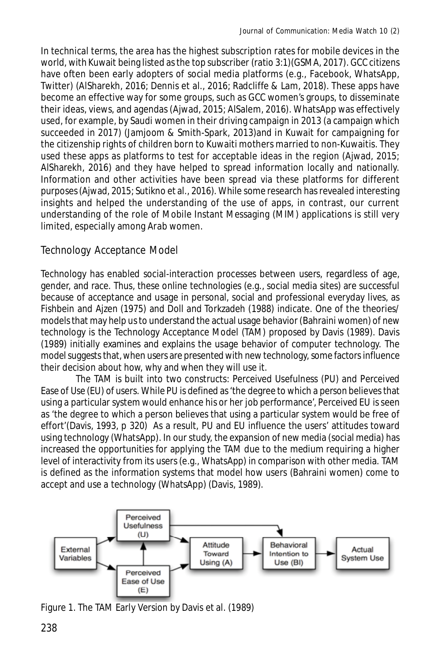In technical terms, the area has the highest subscription rates for mobile devices in the world, with Kuwait being listed as the top subscriber (ratio 3:1)(GSMA, 2017). GCC citizens have often been early adopters of social media platforms (e.g., Facebook, WhatsApp, Twitter) (AlSharekh, 2016; Dennis et al., 2016; Radcliffe & Lam, 2018). These apps have become an effective way for some groups, such as GCC women's groups, to disseminate their ideas, views, and agendas (Ajwad, 2015; AlSalem, 2016). WhatsApp was effectively used, for example, by Saudi women in their driving campaign in 2013 (a campaign which succeeded in 2017) (Jamjoom & Smith-Spark, 2013)and in Kuwait for campaigning for the citizenship rights of children born to Kuwaiti mothers married to non-Kuwaitis. They used these apps as platforms to test for acceptable ideas in the region (Ajwad, 2015; AlSharekh, 2016) and they have helped to spread information locally and nationally. Information and other activities have been spread via these platforms for different purposes (Ajwad, 2015; Sutikno et al., 2016). While some research has revealed interesting insights and helped the understanding of the use of apps, in contrast, our current understanding of the role of Mobile Instant Messaging (MIM) applications is still very limited, especially among Arab women.

# Technology Acceptance Model

Technology has enabled social-interaction processes between users, regardless of age, gender, and race. Thus, these online technologies (e.g., social media sites) are successful because of acceptance and usage in personal, social and professional everyday lives, as Fishbein and Ajzen (1975) and Doll and Torkzadeh (1988) indicate. One of the theories/ models that may help us to understand the actual usage behavior (Bahraini women) of new technology is the Technology Acceptance Model (TAM) proposed by Davis (1989). Davis (1989) initially examines and explains the usage behavior of computer technology. The model suggests that, when users are presented with new technology, some factors influence their decision about how, why and when they will use it.

The TAM is built into two constructs: Perceived Usefulness (PU) and Perceived Ease of Use (EU) of users. While PU is defined as 'the degree to which a person believes that using a particular system would enhance his or her job performance', Perceived EU is seen as 'the degree to which a person believes that using a particular system would be free of effort'(Davis, 1993, p 320) As a result, PU and EU influence the users' attitudes toward using technology (WhatsApp). In our study, the expansion of new media (social media) has increased the opportunities for applying the TAM due to the medium requiring a higher level of interactivity from its users (e.g., WhatsApp) in comparison with other media. TAM is defined as the information systems that model how users (Bahraini women) come to accept and use a technology (WhatsApp) (Davis, 1989).



Figure 1. The TAM Early Version by Davis et al. (1989)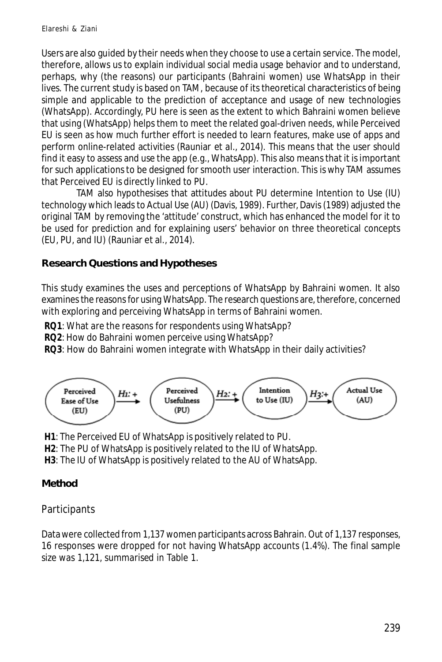Users are also guided by their needs when they choose to use a certain service. The model, therefore, allows us to explain individual social media usage behavior and to understand, perhaps, why (the reasons) our participants (Bahraini women) use WhatsApp in their lives. The current study is based on TAM, because of its theoretical characteristics of being simple and applicable to the prediction of acceptance and usage of new technologies (WhatsApp). Accordingly, PU here is seen as the extent to which Bahraini women believe that using (WhatsApp) helps them to meet the related goal-driven needs, while Perceived EU is seen as how much further effort is needed to learn features, make use of apps and perform online-related activities (Rauniar et al., 2014). This means that the user should find it easy to assess and use the app (e.g., WhatsApp). This also means that it is important for such applications to be designed for smooth user interaction. This is why TAM assumes that Perceived EU is directly linked to PU.

TAM also hypothesises that attitudes about PU determine Intention to Use (IU) technology which leads to Actual Use (AU) (Davis, 1989). Further, Davis (1989) adjusted the original TAM by removing the 'attitude' construct, which has enhanced the model for it to be used for prediction and for explaining users' behavior on three theoretical concepts (EU, PU, and IU) (Rauniar et al., 2014).

## **Research Questions and Hypotheses**

This study examines the uses and perceptions of WhatsApp by Bahraini women. It also examines the reasons for using WhatsApp. The research questions are, therefore, concerned with exploring and perceiving WhatsApp in terms of Bahraini women.

**RQ1**: What are the reasons for respondents using WhatsApp?

**RQ2**: How do Bahraini women perceive using WhatsApp?

**RQ3**: How do Bahraini women integrate with WhatsApp in their daily activities?



**H1**: The Perceived EU of WhatsApp is positively related to PU.

**H2**: The PU of WhatsApp is positively related to the IU of WhatsApp.

**H3**: The IU of WhatsApp is positively related to the AU of WhatsApp.

# **Method**

# **Participants**

Data were collected from 1,137 women participants across Bahrain. Out of 1,137 responses, 16 responses were dropped for not having WhatsApp accounts (1.4%). The final sample size was 1,121, summarised in Table 1.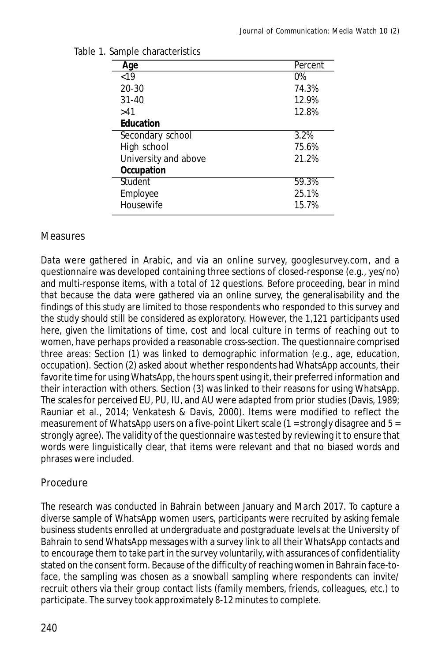| Age                  | Percent |
|----------------------|---------|
| < 19                 | $0\%$   |
| $20 - 30$            | 74.3%   |
| $31 - 40$            | 12.9%   |
| >41                  | 12.8%   |
| <b>Education</b>     |         |
| Secondary school     | 3.2%    |
| High school          | 75.6%   |
| University and above | 21.2%   |
| Occupation           |         |
| Student              | 59.3%   |
| Employee             | 25.1%   |
| Housewife            | 15.7%   |

#### Table 1. Sample characteristics

## **Measures**

Data were gathered in Arabic, and via an online survey, googlesurvey.com, and a questionnaire was developed containing three sections of closed-response (e.g., yes/no) and multi-response items, with a total of 12 questions. Before proceeding, bear in mind that because the data were gathered via an online survey, the generalisability and the findings of this study are limited to those respondents who responded to this survey and the study should still be considered as exploratory. However, the 1,121 participants used here, given the limitations of time, cost and local culture in terms of reaching out to women, have perhaps provided a reasonable cross-section. The questionnaire comprised three areas: Section (1) was linked to demographic information (e.g., age, education, occupation). Section (2) asked about whether respondents had WhatsApp accounts, their favorite time for using WhatsApp, the hours spent using it, their preferred information and their interaction with others. Section (3) was linked to their reasons for using WhatsApp. The scales for perceived EU, PU, IU, and AU were adapted from prior studies (Davis, 1989; Rauniar et al., 2014; Venkatesh & Davis, 2000). Items were modified to reflect the measurement of WhatsApp users on a five-point Likert scale (1 = strongly disagree and  $5 =$ strongly agree). The validity of the questionnaire was tested by reviewing it to ensure that words were linguistically clear, that items were relevant and that no biased words and phrases were included.

## Procedure

The research was conducted in Bahrain between January and March 2017. To capture a diverse sample of WhatsApp women users, participants were recruited by asking female business students enrolled at undergraduate and postgraduate levels at the University of Bahrain to send WhatsApp messages with a survey link to all their WhatsApp contacts and to encourage them to take part in the survey voluntarily, with assurances of confidentiality stated on the consent form. Because of the difficulty of reaching women in Bahrain face-toface, the sampling was chosen as a snowball sampling where respondents can invite/ recruit others via their group contact lists (family members, friends, colleagues, etc.) to participate. The survey took approximately 8-12 minutes to complete.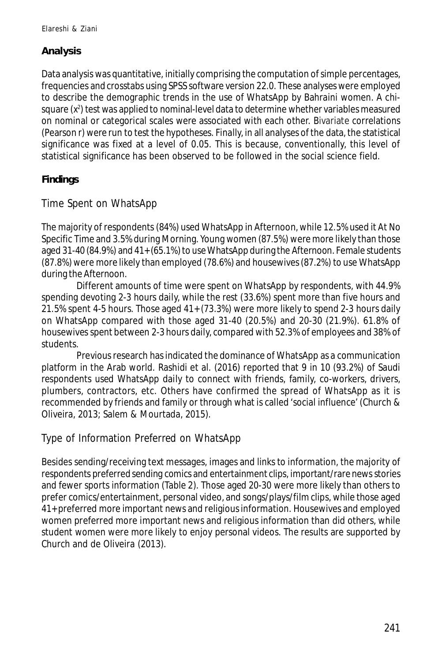# **Analysis**

Data analysis was quantitative, initially comprising the computation of simple percentages, frequencies and crosstabs using SPSS software version 22.0. These analyses were employed to describe the demographic trends in the use of WhatsApp by Bahraini women. A chisquare (x²) test was applied to nominal-level data to determine whether variables measured on nominal or categorical scales were associated with each other. Bivariate correlations (Pearson r) were run to test the hypotheses. Finally, in all analyses of the data, the statistical significance was fixed at a level of 0.05. This is because, conventionally, this level of statistical significance has been observed to be followed in the social science field.

# **Findings**

Time Spent on WhatsApp

The majority of respondents (84%) used WhatsApp in Afternoon, while 12.5% used it At No Specific Time and 3.5% during Morning. Young women (87.5%) were more likely than those aged 31-40 (84.9%) and 41+ (65.1%) to use WhatsApp during the Afternoon. Female students (87.8%) were more likely than employed (78.6%) and housewives (87.2%) to use WhatsApp during the Afternoon.

Different amounts of time were spent on WhatsApp by respondents, with 44.9% spending devoting 2-3 hours daily, while the rest (33.6%) spent more than five hours and 21.5% spent 4-5 hours. Those aged 41+ (73.3%) were more likely to spend 2-3 hours daily on WhatsApp compared with those aged 31-40 (20.5%) and 20-30 (21.9%). 61.8% of housewives spent between 2-3 hours daily, compared with 52.3% of employees and 38% of students.

Previous research has indicated the dominance of WhatsApp as a communication platform in the Arab world. Rashidi et al. (2016) reported that 9 in 10 (93.2%) of Saudi respondents used WhatsApp daily to connect with friends, family, co-workers, drivers, plumbers, contractors, etc. Others have confirmed the spread of WhatsApp as it is recommended by friends and family or through what is called 'social influence' (Church & Oliveira, 2013; Salem & Mourtada, 2015).

# Type of Information Preferred on WhatsApp

Besides sending/receiving text messages, images and links to information, the majority of respondents preferred sending comics and entertainment clips, important/rare news stories and fewer sports information (Table 2). Those aged 20-30 were more likely than others to prefer comics/entertainment, personal video, and songs/plays/film clips, while those aged 41+ preferred more important news and religious information. Housewives and employed women preferred more important news and religious information than did others, while student women were more likely to enjoy personal videos. The results are supported by Church and de Oliveira (2013).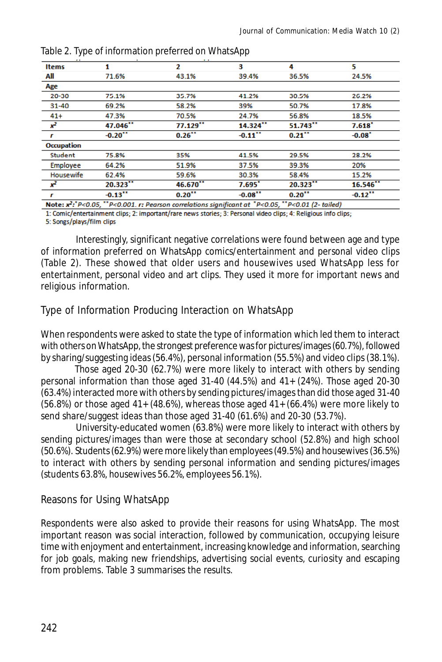| <b>Items</b>     | 1                     | 2                      | з                      | 4                    | 5                      |
|------------------|-----------------------|------------------------|------------------------|----------------------|------------------------|
| All              | 71.6%                 | 43.1%                  | 39.4%                  | 36.5%                | 24.5%                  |
| Age              |                       |                        |                        |                      |                        |
| 20-30            | 75.1%                 | 35.7%                  | 41.2%                  | 30.5%                | 26.2%                  |
| $31 - 40$        | 69.2%                 | 58.2%                  | 39%                    | 50.7%                | 17.8%                  |
| $41+$            | 47.3%                 | 70.5%                  | 24.7%                  | 56.8%                | 18.5%                  |
| $x^2$            | 47.046**              | $77.129$ <sup>**</sup> | $14.324$ <sup>**</sup> | $51.743$ **          | $7.618$ <sup>*</sup>   |
|                  | $-0.20$ <sup>**</sup> | $0.26$ <sup>**</sup>   | $-0.11$ <sup>**</sup>  | $0.21$ <sup>**</sup> | $-0.08$ <sup>*</sup>   |
| Occupation       |                       |                        |                        |                      |                        |
| Student          | 75.8%                 | 35%                    | 41.5%                  | 29.5%                | 28.2%                  |
| Employee         | 64.2%                 | 51.9%                  | 37.5%                  | 39.3%                | 20%                    |
| <b>Housewife</b> | 62.4%                 |                        | 30.3%                  | 58.4%                | 15.2%                  |
| $x^2$            | 20.323                | 46.670**               | 7.695"                 | 20.323               | $16.546$ <sup>**</sup> |
| r                | $-0.13$ <sup>11</sup> | $0.20$ <sup>**</sup>   | $-0.08$ <sup>**</sup>  | $0.20$ <sup>11</sup> | $-0.12$ <sup>**</sup>  |

Table 2. Type of information preferred on WhatsApp

s signific 1: Comic/entertainment clips; 2: important/rare news stories; 3: Personal video clips; 4: Religious info clips;

5: Songs/plays/film clips

Interestingly, significant negative correlations were found between age and type of information preferred on WhatsApp comics/entertainment and personal video clips (Table 2). These showed that older users and housewives used WhatsApp less for entertainment, personal video and art clips. They used it more for important news and religious information.

## Type of Information Producing Interaction on WhatsApp

When respondents were asked to state the type of information which led them to interact with others on WhatsApp, the strongest preference was for pictures/images (60.7%), followed by sharing/suggesting ideas (56.4%), personal information (55.5%) and video clips (38.1%).

Those aged 20-30 (62.7%) were more likely to interact with others by sending personal information than those aged 31-40 (44.5%) and 41+ (24%). Those aged 20-30 (63.4%) interacted more with others by sending pictures/images than did those aged 31-40  $(56.8%)$  or those aged  $41+ (48.6%)$ , whereas those aged  $41+ (66.4%)$  were more likely to send share/suggest ideas than those aged 31-40 (61.6%) and 20-30 (53.7%).

University-educated women (63.8%) were more likely to interact with others by sending pictures/images than were those at secondary school (52.8%) and high school (50.6%). Students (62.9%) were more likely than employees (49.5%) and housewives (36.5%) to interact with others by sending personal information and sending pictures/images (students 63.8%, housewives 56.2%, employees 56.1%).

## Reasons for Using WhatsApp

Respondents were also asked to provide their reasons for using WhatsApp. The most important reason was social interaction, followed by communication, occupying leisure time with enjoyment and entertainment, increasing knowledge and information, searching for job goals, making new friendships, advertising social events, curiosity and escaping from problems. Table 3 summarises the results.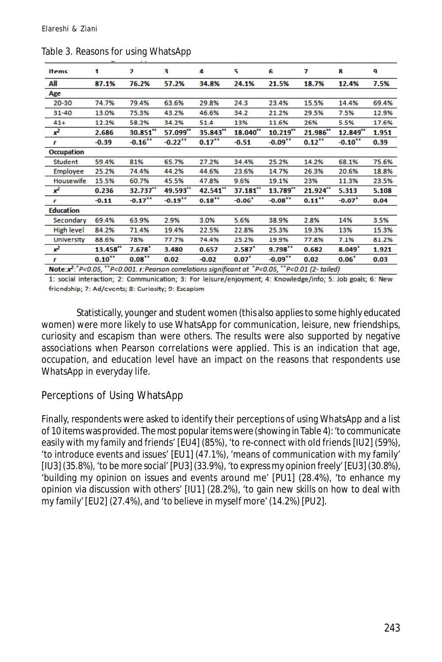| <b>Items</b>                                                                                                         | 1                      | $\overline{2}$         | з                      | 4                    | 5                      | 6                      | 7                      | 8                     | 9     |
|----------------------------------------------------------------------------------------------------------------------|------------------------|------------------------|------------------------|----------------------|------------------------|------------------------|------------------------|-----------------------|-------|
| All                                                                                                                  | 87.1%                  | 76.2%                  | 57.2%                  | 34.8%                | 24.1%                  | 21.5%                  | 18.7%                  | 12.4%                 | 7.5%  |
| Age                                                                                                                  |                        |                        |                        |                      |                        |                        |                        |                       |       |
| 20-30                                                                                                                | 74.7%                  | 79.4%                  | 63.6%                  | 29.8%                | 24.3                   | 23.4%                  | 15.5%                  | 14.4%                 | 69.4% |
| 31-40                                                                                                                | 13.0%                  | 75.3%                  | 43.2%                  | 46.6%                | 34.2                   | 21.2%                  | 29.5%                  | 7.5%                  | 12.9% |
| $41+$                                                                                                                | 12.2%                  | 58.2%                  | 34.2%                  | 51.4                 | 13%                    | 11.6%                  | 26%                    | 5.5%                  | 17.6% |
| $x^2$                                                                                                                | 2.686                  | $30.851$ <sup>11</sup> | $57.099$ <sup>**</sup> | 35.843"              | $18.040$ <sup>**</sup> | $10.219$ <sup>**</sup> | 21.986'''              | 12.849'''             | 1.951 |
| Г                                                                                                                    | $-0.39$                | $-0.16$ <sup>17</sup>  | $-0.22$ <sup>**</sup>  | $0.17$ <sup>11</sup> | $-0.51$                | $-0.09$ <sup>11</sup>  | $0.12$ <sup>22</sup>   | $-0.10$ <sup>xx</sup> | 0.39  |
| <b>Occupation</b>                                                                                                    |                        |                        |                        |                      |                        |                        |                        |                       |       |
| <b>Student</b>                                                                                                       | 59.4%                  | 81%                    | 65.7%                  | 27.2%                | 34.4%                  | 25.2%                  | 14.2%                  | 68.1%                 | 75.6% |
| Employee                                                                                                             | 25.2%                  | 74.4%                  | 44.2%                  | 44.6%                | 23.6%                  | 14.7%                  | 26.3%                  | 20.6%                 | 18.8% |
| Housewife                                                                                                            | 15.5%                  | 60.7%                  | 45.5%                  | 47.8%                | 9.6%                   | 19.1%                  | 23%                    | 11.3%                 | 23.5% |
| $x^2$                                                                                                                | 0.236                  | 32.737                 | 49.593                 | 42.541               | $37.181$ <sup>**</sup> | 13.789                 | $21.924$ <sup>**</sup> | 5.313                 | 5.108 |
| r                                                                                                                    | $-0.11$                | $0.17$ <sup>12</sup>   | $0.19$ <sup>xx</sup>   | $0.18***$            | $-0.06$ <sup>*</sup>   | $-0.08$ <sup>11</sup>  | $0.11$ <sup>xx</sup>   | $-0.07$ <sup>*</sup>  | 0.04  |
| <b>Education</b>                                                                                                     |                        |                        |                        |                      |                        |                        |                        |                       |       |
| Secondary                                                                                                            | 69.4%                  | 63.9%                  | 2.9%                   | 3.0%                 | 5.6%                   | 38.9%                  | 2.8%                   | 14%                   | 3.5%  |
| <b>High level</b>                                                                                                    | 84.2%                  | 71.4%                  | 19.4%                  | 22.5%                | 22.8%                  | 25.3%                  | 19.3%                  | 13%                   | 15.3% |
| <b>University</b>                                                                                                    | 88.6%                  | 78%                    | 77.7%                  | 74.4%                | 25.2%                  | 19.9%                  | 77.8%                  | 7.1%                  | 81.2% |
| $x^2$                                                                                                                | $13.458$ <sup>**</sup> | $7.678$ <sup>*</sup>   | 3.480                  | 0.657                | 2.587 <sup>2</sup>     | $9.798$ <sup>11</sup>  | 0.682                  | 8.049''               | 1.921 |
| г                                                                                                                    | $0.10^{11}$            | 0.08                   | 0.02                   | $-0.02$              | $0.07^*$               | $-0.09$ <sup>11</sup>  | 0.02                   | $0.06^*$              | 0.03  |
| Note: $x^2$ : $P<0.05$ , $x^2$ P<0.001. r: Pearson correlations significant at $x^2$ P<0.05, $x^2$ P<0.01 (2-tailed) |                        |                        |                        |                      |                        |                        |                        |                       |       |

Table 3. Reasons for using WhatsApp

1: social interaction; 2: Communication; 3: For leisure/enjoyment; 4: Knowledge/info; 5: Job goals; 6: New friendship; 7: Ad/events; 8: Curiosity; 9: Escapism

Statistically, younger and student women (this also applies to some highly educated women) were more likely to use WhatsApp for communication, leisure, new friendships, curiosity and escapism than were others. The results were also supported by negative associations when Pearson correlations were applied. This is an indication that age, occupation, and education level have an impact on the reasons that respondents use WhatsApp in everyday life.

## Perceptions of Using WhatsApp

Finally, respondents were asked to identify their perceptions of using WhatsApp and a list of 10 items was provided. The most popular items were (showing in Table 4): 'to communicate easily with my family and friends' [EU4] (85%), 'to re-connect with old friends [IU2] (59%), 'to introduce events and issues' [EU1] (47.1%), 'means of communication with my family' [IU3] (35.8%), 'to be more social' [PU3] (33.9%), 'to express my opinion freely' [EU3] (30.8%), 'building my opinion on issues and events around me' [PU1] (28.4%), 'to enhance my opinion via discussion with others' [IU1] (28.2%), 'to gain new skills on how to deal with my family' [EU2] (27.4%), and 'to believe in myself more' (14.2%) [PU2].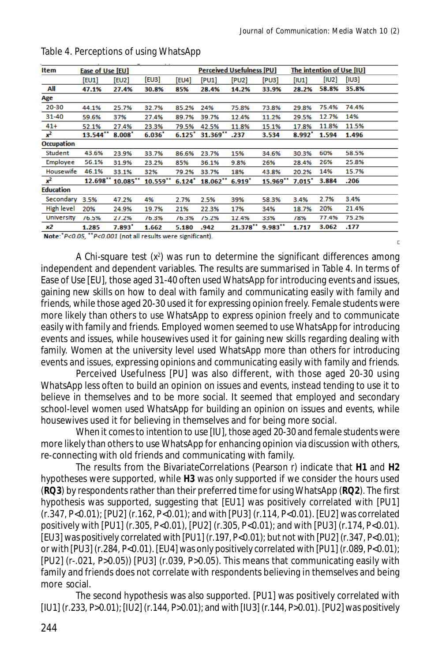D.

| Item              | Ease of Use [EU]       |                      |            |                      | <b>Perceived Usefulness [PU]</b> |          |                       | The intention of Use [IU] |       |       |
|-------------------|------------------------|----------------------|------------|----------------------|----------------------------------|----------|-----------------------|---------------------------|-------|-------|
|                   | [EU1]                  | [EU2]                | [EU3]      | [EU4]                | [PU1]                            | [PU2]    | [PU3]                 | [101]                     | [102] | [103] |
| All               | 47.1%                  | 27.4%                | 30.8%      | 85%                  | 28.4%                            | 14.2%    | 33.9%                 | 28.2%                     | 58.8% | 35.8% |
| Age               |                        |                      |            |                      |                                  |          |                       |                           |       |       |
| $20 - 30$         | 44.1%                  | 25.7%                | 32.7%      | 85.2%                | 24%                              | 75.8%    | 73.8%                 | 29.8%                     | 75.4% | 74.4% |
| 31-40             | 59.6%                  | 37%                  | 27.4%      | 89.7%                | 39.7%                            | 12.4%    | 11.2%                 | 29.5%                     | 12.7% | 14%   |
| $41+$             | 52.1%                  | 27.4%                | 23.3%      | 79.5%                | 42.5%                            | 11.8%    | 15.1%                 | 17.8%                     | 11.8% | 11.5% |
| $x^2$             | $13.544$ <sup>**</sup> | $8.008$ <sup>*</sup> | 6.036      | $6.125$ <sup>*</sup> | $31.369$ <sup>**</sup>           | .237     | 3.534                 | $8.992^*$                 | 1.594 | 1.496 |
| <b>Occupation</b> |                        |                      |            |                      |                                  |          |                       |                           |       |       |
| <b>Student</b>    | 43.6%                  | 23.9%                | 33.7%      | 86.6%                | 23.7%                            | 15%      | 34.6%                 | 30.3%                     | 60%   | 58.5% |
| Employee          | 56.1%                  | 31.9%                | 23.2%      | 85%                  | 36.1%                            | 9.8%     | 26%                   | 28.4%                     | 26%   | 25.8% |
| Housewife         | 46.1%                  | 33.1%                | 32%        | 79.2%                | 33.7%                            | 18%      | 43.8%                 | 20.2%                     | 14%   | 15.7% |
| $x^2$             | $12.698$ <sup>**</sup> | 10.085               | $10.559**$ | $6.124$ <sup>*</sup> | $18.062$ <sup>**</sup>           | $6.919*$ | $15.969**$            | $7.015$ <sup>*</sup>      | 3.884 | .206  |
| <b>Education</b>  |                        |                      |            |                      |                                  |          |                       |                           |       |       |
| Secondary         | 3.5%                   | 47.2%                | 4%         | 2.7%                 | 2.5%                             | 39%      | 58.3%                 | 3.4%                      | 2.7%  | 3.4%  |
| High level        | 20%                    | 24.9%                | 19.7%      | 21%                  | 22.3%                            | 17%      | 34%                   | 18.7%                     | 20%   | 21.4% |
| <b>University</b> | 76.5%                  | 27.2%                | 76.3%      | 76.3%                | 75.2%                            | 12.4%    | 33%                   | 78%                       | 77.4% | 75.2% |
| х2                | 1.285                  | $7.893$ <sup>*</sup> | 1.662      | 5.180                | .942                             | 21.378"  | $9.983$ <sup>11</sup> | 1.717                     | 3.062 | .177  |

#### Table 4. Perceptions of using WhatsApp

Note: P<0.05, "P<0.001 (not all results were significant)

A Chi-square test (x<sup>2</sup>) was run to determine the significant differences among independent and dependent variables. The results are summarised in Table 4. In terms of Ease of Use [EU], those aged 31-40 often used WhatsApp for introducing events and issues, gaining new skills on how to deal with family and communicating easily with family and friends, while those aged 20-30 used it for expressing opinion freely. Female students were more likely than others to use WhatsApp to express opinion freely and to communicate easily with family and friends. Employed women seemed to use WhatsApp for introducing events and issues, while housewives used it for gaining new skills regarding dealing with family. Women at the university level used WhatsApp more than others for introducing events and issues, expressing opinions and communicating easily with family and friends.

Perceived Usefulness [PU] was also different, with those aged 20-30 using WhatsApp less often to build an opinion on issues and events, instead tending to use it to believe in themselves and to be more social. It seemed that employed and secondary school-level women used WhatsApp for building an opinion on issues and events, while housewives used it for believing in themselves and for being more social.

When it comes to intention to use [IU], those aged 20-30 and female students were more likely than others to use WhatsApp for enhancing opinion via discussion with others, re-connecting with old friends and communicating with family.

The results from the BivariateCorrelations (Pearson *r*) indicate that **H1** and **H2** hypotheses were supported, while **H3** was only supported if we consider the hours used (**RQ3**) by respondents rather than their preferred time for using WhatsApp (**RQ2**). The first hypothesis was supported, suggesting that [EU1] was positively correlated with [PU1] (*r*.347, P<0.01); [PU2] (*r*.162, P<0.01); and with [PU3] (*r*.114, P<0.01). [EU2] was correlated positively with [PU1] (*r*.305, P<0.01), [PU2] (*r*.305, P<0.01); and with [PU3] (*r*.174, P<0.01). [EU3] was positively correlated with [PU1] (*r*.197, P<0.01); but not with [PU2] (*r*.347, P<0.01); or with [PU3] (*r*.284, P<0.01). [EU4] was only positively correlated with [PU1] (*r*.089, P<0.01); [PU2] (*r*-.021, P>0.05)) [PU3] (*r*.039, P>0.05). This means that communicating easily with family and friends does not correlate with respondents believing in themselves and being more social.

The second hypothesis was also supported. [PU1] was positively correlated with [IU1] (*r*.233, P>0.01); [IU2] (*r*.144, P>0.01); and with [IU3] (*r*.144, P>0.01). [PU2] was positively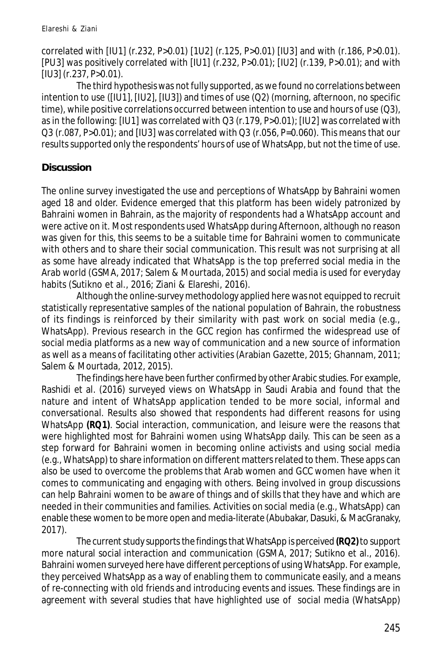correlated with [IU1] (*r*.232, P>0.01) [1U2] (*r*.125, P>0.01) [IU3] and with (*r*.186, P>0.01). [PU3] was positively correlated with [IU1] (*r*.232, P>0.01); [IU2] (*r*.139, P>0.01); and with [IU3] (*r*.237, P>0.01).

The third hypothesis was not fully supported, as we found no correlations between intention to use ([IU1], [IU2], [IU3]) and times of use (Q2) (morning, afternoon, no specific time), while positive correlations occurred between intention to use and hours of use (Q3), as in the following: [IU1] was correlated with Q3 (*r*.179, P>0.01); [IU2] was correlated with Q3 (*r*.087, P>0.01); and [IU3] was correlated with Q3 (*r*.056, P=0.060). This means that our results supported only the respondents' hours of use of WhatsApp, but not the time of use.

# **Discussion**

The online survey investigated the use and perceptions of WhatsApp by Bahraini women aged 18 and older. Evidence emerged that this platform has been widely patronized by Bahraini women in Bahrain, as the majority of respondents had a WhatsApp account and were active on it. Most respondents used WhatsApp during *Afternoon*, although no reason was given for this, this seems to be a suitable time for Bahraini women to communicate with others and to share their social communication. This result was not surprising at all as some have already indicated that WhatsApp is the top preferred social media in the Arab world (GSMA, 2017; Salem & Mourtada, 2015) and social media is used for everyday habits (Sutikno et al., 2016; Ziani & Elareshi, 2016).

Although the online-survey methodology applied here was not equipped to recruit statistically representative samples of the national population of Bahrain, the robustness of its findings is reinforced by their similarity with past work on social media (e.g., WhatsApp). Previous research in the GCC region has confirmed the widespread use of social media platforms as a new way of communication and a new source of information as well as a means of facilitating other activities (Arabian Gazette, 2015; Ghannam, 2011; Salem & Mourtada, 2012, 2015).

The findings here have been further confirmed by other Arabic studies. For example, Rashidi et al. (2016) surveyed views on WhatsApp in Saudi Arabia and found that the nature and intent of WhatsApp application tended to be more social, informal and conversational. Results also showed that respondents had different reasons for using WhatsApp **(RQ1)**. Social interaction, communication, and leisure were the reasons that were highlighted most for Bahraini women using WhatsApp daily. This can be seen as a step forward for Bahraini women in becoming online activists and using social media (e.g., WhatsApp) to share information on different matters related to them. These apps can also be used to overcome the problems that Arab women and GCC women have when it comes to communicating and engaging with others. Being involved in group discussions can help Bahraini women to be aware of things and of skills that they have and which are needed in their communities and families. Activities on social media (e.g., WhatsApp) can enable these women to be more open and media-literate (Abubakar, Dasuki, & MacGranaky, 2017).

The current study supports the findings that WhatsApp is perceived **(RQ2)** to support more natural social interaction and communication (GSMA, 2017; Sutikno et al., 2016). Bahraini women surveyed here have different perceptions of using WhatsApp. For example, they perceived WhatsApp as a way of enabling them to communicate easily, and a means of re-connecting with old friends and introducing events and issues. These findings are in agreement with several studies that have highlighted use of social media (WhatsApp)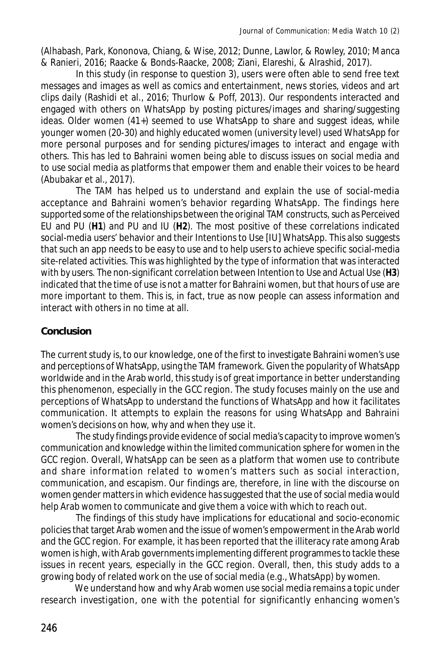(Alhabash, Park, Kononova, Chiang, & Wise, 2012; Dunne, Lawlor, & Rowley, 2010; Manca & Ranieri, 2016; Raacke & Bonds-Raacke, 2008; Ziani, Elareshi, & Alrashid, 2017).

In this study (in response to question 3), users were often able to send free text messages and images as well as comics and entertainment, news stories, videos and art clips daily (Rashidi et al., 2016; Thurlow & Poff, 2013). Our respondents interacted and engaged with others on WhatsApp by posting pictures/images and sharing/suggesting ideas. Older women (41+) seemed to use WhatsApp to share and suggest ideas, while younger women (20-30) and highly educated women (university level) used WhatsApp for more personal purposes and for sending pictures/images to interact and engage with others. This has led to Bahraini women being able to discuss issues on social media and to use social media as platforms that empower them and enable their voices to be heard (Abubakar et al., 2017).

The TAM has helped us to understand and explain the use of social-media acceptance and Bahraini women's behavior regarding WhatsApp. The findings here supported some of the relationships between the original TAM constructs, such as Perceived EU and PU (**H1**) and PU and IU (**H2**). The most positive of these correlations indicated social-media users' behavior and their Intentions to Use [IU] WhatsApp. This also suggests that such an app needs to be easy to use and to help users to achieve specific social-media site-related activities. This was highlighted by the type of information that was interacted with by users. The non-significant correlation between Intention to Use and Actual Use (**H3**) indicated that the time of use is not a matter for Bahraini women, but that hours of use are more important to them. This is, in fact, true as now people can assess information and interact with others in no time at all.

#### **Conclusion**

The current study is, to our knowledge, one of the first to investigate Bahraini women's use and perceptions of WhatsApp, using the TAM framework. Given the popularity of WhatsApp worldwide and in the Arab world, this study is of great importance in better understanding this phenomenon, especially in the GCC region. The study focuses mainly on the use and perceptions of WhatsApp to understand the functions of WhatsApp and how it facilitates communication. It attempts to explain the reasons for using WhatsApp and Bahraini women's decisions on how, why and when they use it.

The study findings provide evidence of social media's capacity to improve women's communication and knowledge within the limited communication sphere for women in the GCC region. Overall, WhatsApp can be seen as a platform that women use to contribute and share information related to women's matters such as social interaction, communication, and escapism. Our findings are, therefore, in line with the discourse on women gender matters in which evidence has suggested that the use of social media would help Arab women to communicate and give them a voice with which to reach out.

The findings of this study have implications for educational and socio-economic policies that target Arab women and the issue of women's empowerment in the Arab world and the GCC region. For example, it has been reported that the illiteracy rate among Arab women is high, with Arab governments implementing different programmes to tackle these issues in recent years, especially in the GCC region. Overall, then, this study adds to a growing body of related work on the use of social media (e.g., WhatsApp) by women.

We understand how and why Arab women use social media remains a topic under research investigation, one with the potential for significantly enhancing women's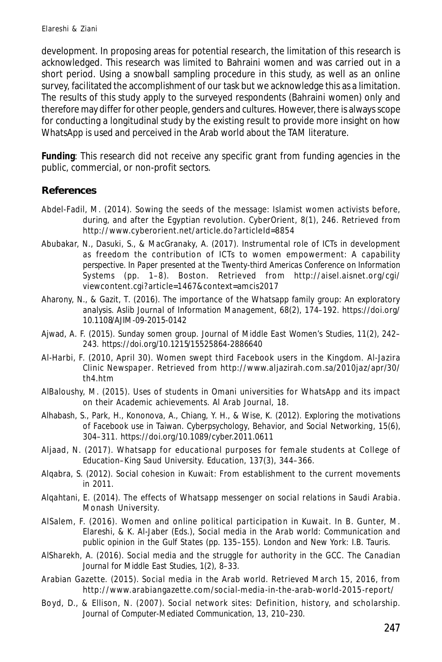development. In proposing areas for potential research, the limitation of this research is acknowledged. This research was limited to Bahraini women and was carried out in a short period. Using a snowball sampling procedure in this study, as well as an online survey, facilitated the accomplishment of our task but we acknowledge this as a limitation. The results of this study apply to the surveyed respondents (Bahraini women) only and therefore may differ for other people, genders and cultures. However, there is always scope for conducting a longitudinal study by the existing result to provide more insight on how WhatsApp is used and perceived in the Arab world about the TAM literature.

**Funding**: This research did not receive any specific grant from funding agencies in the public, commercial, or non-profit sectors.

#### **References**

- Abdel-Fadil, M. (2014). Sowing the seeds of the message: Islamist women activists before, during, and after the Egyptian revolution. *CyberOrient*, *8*(1), 246. Retrieved from http://www.cyberorient.net/article.do?articleId=8854
- Abubakar, N., Dasuki, S., & MacGranaky, A. (2017). Instrumental role of ICTs in development as freedom the contribution of ICTs to women empowerment: A capability perspective. In *Paper presented at the Twenty-third Americas Conference on Information Systems* (pp. 1–8). Boston. Retrieved from http://aisel.aisnet.org/cgi/ viewcontent.cgi?article=1467&context=amcis2017
- Aharony, N., & Gazit, T. (2016). The importance of the Whatsapp family group: An exploratory analysis. *Aslib Journal of Information Management*, *68*(2), 174–192. https://doi.org/ 10.1108/AJIM-09-2015-0142
- Ajwad, A. F. (2015). Sunday somen group. *Journal of Middle East Women's Studies*, *11*(2), 242– 243. https://doi.org/10.1215/15525864-2886640
- Al-Harbi, F. (2010, April 30). Women swept third Facebook users in the Kingdom. *Al-Jazira Clinic Newspaper*. Retrieved from http://www.aljazirah.com.sa/2010jaz/apr/30/ th4.htm
- AlBaloushy, M. (2015). Uses of students in Omani universities for WhatsApp and its impact on their Academic achievements. *Al Arab Journal*, *18*.
- Alhabash, S., Park, H., Kononova, A., Chiang, Y. H., & Wise, K. (2012). Exploring the motivations of Facebook use in Taiwan. *Cyberpsychology, Behavior, and Social Networking*, *15*(6), 304–311. https://doi.org/10.1089/cyber.2011.0611
- Aljaad, N. (2017). Whatsapp for educational purposes for female students at College of Education–King Saud University. *Education*, *137*(3), 344–366.
- Alqabra, S. (2012). Social cohesion in Kuwait: From establishment to the current movements in 2011.
- Alqahtani, E. (2014). *The effects of Whatsapp messenger on social relations in Saudi Arabia*. Monash University.
- AlSalem, F. (2016). Women and online political participation in Kuwait. In B. Gunter, M. Elareshi, & K. Al-Jaber (Eds.), *Social media in the Arab world: Communication and public opinion in the Gulf States* (pp. 135–155). London and New York: I.B. Tauris.
- AlSharekh, A. (2016). Social media and the struggle for authority in the GCC. *The Canadian Journal for Middle East Studies*, *1*(2), 8–33.
- Arabian Gazette. (2015). Social media in the Arab world. Retrieved March 15, 2016, from http://www.arabiangazette.com/social-media-in-the-arab-world-2015-report/
- Boyd, D., & Ellison, N. (2007). Social network sites: Definition, history, and scholarship. *Journal of Computer-Mediated Communication*, *13*, 210–230.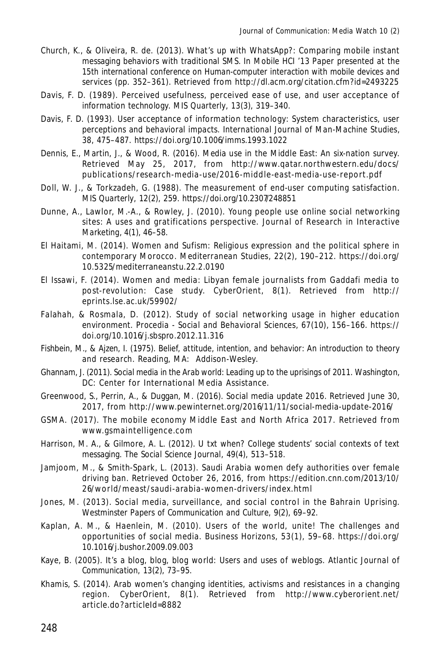- Church, K., & Oliveira, R. de. (2013). What's up with WhatsApp?: Comparing mobile instant messaging behaviors with traditional SMS. In *Mobile HCI '13 Paper presented at the 15th international conference on Human-computer interaction with mobile devices and services* (pp. 352–361). Retrieved from http://dl.acm.org/citation.cfm?id=2493225
- Davis, F. D. (1989). Perceived usefulness, perceived ease of use, and user acceptance of information technology. *MIS Quarterly*, *13*(3), 319–340.
- Davis, F. D. (1993). User acceptance of information technology: System characteristics, user perceptions and behavioral impacts. *International Journal of Man-Machine Studies*, *38*, 475–487. https://doi.org/10.1006/imms.1993.1022
- Dennis, E., Martin, J., & Wood, R. (2016). Media use in the Middle East: An six-nation survey. Retrieved May 25, 2017, from http://www.qatar.northwestern.edu/docs/ publications/research-media-use/2016-middle-east-media-use-report.pdf
- Doll, W. J., & Torkzadeh, G. (1988). The measurement of end-user computing satisfaction. *MIS Quarterly*, *12*(2), 259. https://doi.org/10.2307/248851
- Dunne, A., Lawlor, M.-A., & Rowley, J. (2010). Young people use online social networking sites: A uses and gratifications perspective. *Journal of Research in Interactive Marketing*, *4*(1), 46–58.
- El Haitami, M. (2014). Women and Sufism: Religious expression and the political sphere in contemporary Morocco. *Mediterranean Studies*, *22*(2), 190–212. https://doi.org/ 10.5325/mediterraneanstu.22.2.0190
- El Issawi, F. (2014). Women and media: Libyan female journalists from Gaddafi media to post-revolution: Case study. *CyberOrient*, *8*(1). Retrieved from http:// eprints.lse.ac.uk/59902/
- Falahah, & Rosmala, D. (2012). Study of social networking usage in higher education environment. *Procedia - Social and Behavioral Sciences*, *67*(10), 156–166. https:// doi.org/10.1016/j.sbspro.2012.11.316
- Fishbein, M., & Ajzen, I. (1975). *Belief, attitude, intention, and behavior: An introduction to theory and research*. Reading, MA: Addison-Wesley.
- Ghannam, J. (2011). *Social media in the Arab world: Leading up to the uprisings of 2011*. Washington, DC: Center for International Media Assistance.
- Greenwood, S., Perrin, A., & Duggan, M. (2016). Social media update 2016. Retrieved June 30, 2017, from http://www.pewinternet.org/2016/11/11/social-media-update-2016/
- GSMA. (2017). *The mobile economy Middle East and North Africa 2017*. Retrieved from www.gsmaintelligence.com
- Harrison, M. A., & Gilmore, A. L. (2012). U txt when? College students' social contexts of text messaging. *The Social Science Journal*, *49*(4), 513–518.
- Jamjoom, M., & Smith-Spark, L. (2013). Saudi Arabia women defy authorities over female driving ban. Retrieved October 26, 2016, from https://edition.cnn.com/2013/10/ 26/world/meast/saudi-arabia-women-drivers/index.html
- Jones, M. (2013). Social media, surveillance, and social control in the Bahrain Uprising. *Westminster Papers of Communication and Culture*, *9*(2), 69–92.
- Kaplan, A. M., & Haenlein, M. (2010). Users of the world, unite! The challenges and opportunities of social media. *Business Horizons*, *53*(1), 59–68. https://doi.org/ 10.1016/j.bushor.2009.09.003
- Kaye, B. (2005). It's a blog, blog, blog world: Users and uses of weblogs. *Atlantic Journal of Communication*, *13*(2), 73–95.
- Khamis, S. (2014). Arab women's changing identities, activisms and resistances in a changing region. *CyberOrient*, *8*(1). Retrieved from http://www.cyberorient.net/ article.do?articleId=8882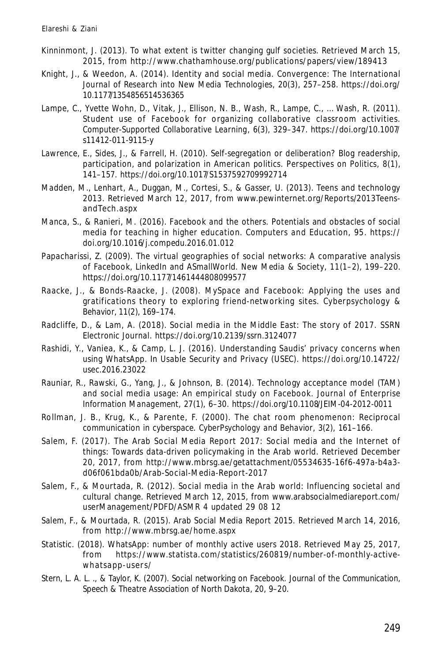- Kinninmont, J. (2013). To what extent is twitter changing gulf societies. Retrieved March 15, 2015, from http://www.chathamhouse.org/publications/papers/view/189413
- Knight, J., & Weedon, A. (2014). Identity and social media. *Convergence: The International Journal of Research into New Media Technologies*, *20*(3), 257–258. https://doi.org/ 10.1177/1354856514536365
- Lampe, C., Yvette Wohn, D., Vitak, J., Ellison, N. B., Wash, R., Lampe, C., … Wash, R. (2011). Student use of Facebook for organizing collaborative classroom activities. *Computer-Supported Collaborative Learning*, *6*(3), 329–347. https://doi.org/10.1007/ s11412-011-9115-y
- Lawrence, E., Sides, J., & Farrell, H. (2010). Self-segregation or deliberation? Blog readership, participation, and polarization in American politics. *Perspectives on Politics*, *8*(1), 141–157. https://doi.org/10.1017/S1537592709992714
- Madden, M., Lenhart, A., Duggan, M., Cortesi, S., & Gasser, U. (2013). Teens and technology 2013. Retrieved March 12, 2017, from www.pewinternet.org/Reports/2013TeensandTech.aspx
- Manca, S., & Ranieri, M. (2016). Facebook and the others. Potentials and obstacles of social media for teaching in higher education. *Computers and Education*, *95*. https:// doi.org/10.1016/j.compedu.2016.01.012
- Papacharissi, Z. (2009). The virtual geographies of social networks: A comparative analysis of Facebook, LinkedIn and ASmallWorld. *New Media & Society*, *11*(1–2), 199–220. https://doi.org/10.1177/1461444808099577
- Raacke, J., & Bonds-Raacke, J. (2008). MySpace and Facebook: Applying the uses and gratifications theory to exploring friend-networking sites. *Cyberpsychology & Behavior*, *11*(2), 169–174.
- Radcliffe, D., & Lam, A. (2018). Social media in the Middle East: The story of 2017. *SSRN Electronic Journal*. https://doi.org/10.2139/ssrn.3124077
- Rashidi, Y., Vaniea, K., & Camp, L. J. (2016). Understanding Saudis' privacy concerns when using WhatsApp. In *Usable Security and Privacy (USEC)*. https://doi.org/10.14722/ usec.2016.23022
- Rauniar, R., Rawski, G., Yang, J., & Johnson, B. (2014). Technology acceptance model (TAM) and social media usage: An empirical study on Facebook. *Journal of Enterprise Information Management*, *27*(1), 6–30. https://doi.org/10.1108/JEIM-04-2012-0011
- Rollman, J. B., Krug, K., & Parente, F. (2000). The chat room phenomenon: Reciprocal communication in cyberspace. *CyberPsychology and Behavior*, *3*(2), 161–166.
- Salem, F. (2017). The Arab Social Media Report 2017: Social media and the Internet of things: Towards data-driven policymaking in the Arab world. Retrieved December 20, 2017, from http://www.mbrsg.ae/getattachment/05534635-16f6-497a-b4a3 d06f061bda0b/Arab-Social-Media-Report-2017
- Salem, F., & Mourtada, R. (2012). Social media in the Arab world: Influencing societal and cultural change. Retrieved March 12, 2015, from www.arabsocialmediareport.com/ userManagement/PDFD/ASMR 4 updated 29 08 12
- Salem, F., & Mourtada, R. (2015). Arab Social Media Report 2015. Retrieved March 14, 2016, from http://www.mbrsg.ae/home.aspx
- Statistic. (2018). WhatsApp: number of monthly active users 2018. Retrieved May 25, 2017, from https://www.statista.com/statistics/260819/number-of-monthly-activewhatsapp-users/
- Stern, L. A. L. ., & Taylor, K. (2007). Social networking on Facebook. *Journal of the Communication, Speech & Theatre Association of North Dakota*, *20*, 9–20.